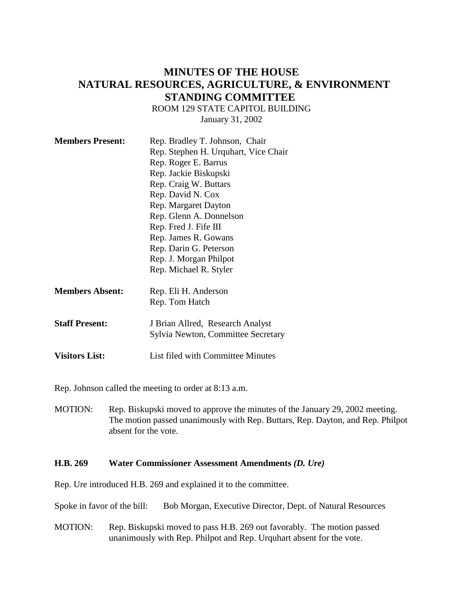# **MINUTES OF THE HOUSE NATURAL RESOURCES, AGRICULTURE, & ENVIRONMENT STANDING COMMITTEE**

ROOM 129 STATE CAPITOL BUILDING

January 31, 2002

| <b>Members Present:</b> | Rep. Bradley T. Johnson, Chair       |
|-------------------------|--------------------------------------|
|                         | Rep. Stephen H. Urquhart, Vice Chair |
|                         | Rep. Roger E. Barrus                 |
|                         | Rep. Jackie Biskupski                |
|                         | Rep. Craig W. Buttars                |
|                         | Rep. David N. Cox                    |
|                         | Rep. Margaret Dayton                 |
|                         | Rep. Glenn A. Donnelson              |
|                         | Rep. Fred J. Fife III                |
|                         | Rep. James R. Gowans                 |
|                         | Rep. Darin G. Peterson               |
|                         | Rep. J. Morgan Philpot               |
|                         | Rep. Michael R. Styler               |
|                         |                                      |
| <b>Members Absent:</b>  | Rep. Eli H. Anderson                 |
|                         | Rep. Tom Hatch                       |
| <b>Staff Present:</b>   | J Brian Allred, Research Analyst     |
|                         | Sylvia Newton, Committee Secretary   |
| <b>Visitors List:</b>   | List filed with Committee Minutes    |

Rep. Johnson called the meeting to order at 8:13 a.m.

MOTION: Rep. Biskupski moved to approve the minutes of the January 29, 2002 meeting. The motion passed unanimously with Rep. Buttars, Rep. Dayton, and Rep. Philpot absent for the vote.

### **H.B. 269 Water Commissioner Assessment Amendments** *(D. Ure)*

Rep. Ure introduced H.B. 269 and explained it to the committee.

Spoke in favor of the bill: Bob Morgan, Executive Director, Dept. of Natural Resources

MOTION: Rep. Biskupski moved to pass H.B. 269 out favorably. The motion passed unanimously with Rep. Philpot and Rep. Urquhart absent for the vote.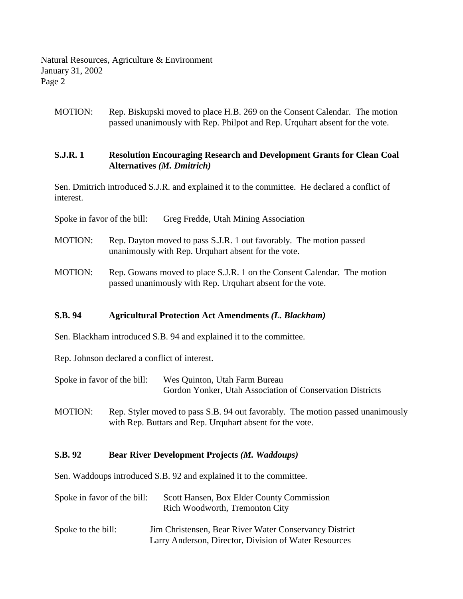Natural Resources, Agriculture & Environment January 31, 2002 Page 2

MOTION: Rep. Biskupski moved to place H.B. 269 on the Consent Calendar. The motion passed unanimously with Rep. Philpot and Rep. Urquhart absent for the vote.

## **S.J.R. 1 Resolution Encouraging Research and Development Grants for Clean Coal Alternatives** *(M. Dmitrich)*

Sen. Dmitrich introduced S.J.R. and explained it to the committee. He declared a conflict of interest.

Spoke in favor of the bill: Greg Fredde, Utah Mining Association

- MOTION: Rep. Dayton moved to pass S.J.R. 1 out favorably. The motion passed unanimously with Rep. Urquhart absent for the vote.
- MOTION: Rep. Gowans moved to place S.J.R. 1 on the Consent Calendar. The motion passed unanimously with Rep. Urquhart absent for the vote.

## **S.B. 94 Agricultural Protection Act Amendments** *(L. Blackham)*

Sen. Blackham introduced S.B. 94 and explained it to the committee.

Rep. Johnson declared a conflict of interest.

- Spoke in favor of the bill: Wes Quinton, Utah Farm Bureau Gordon Yonker, Utah Association of Conservation Districts
- MOTION: Rep. Styler moved to pass S.B. 94 out favorably. The motion passed unanimously with Rep. Buttars and Rep. Urquhart absent for the vote.

### **S.B. 92 Bear River Development Projects** *(M. Waddoups)*

Sen. Waddoups introduced S.B. 92 and explained it to the committee.

| Spoke in favor of the bill: | Scott Hansen, Box Elder County Commission<br>Rich Woodworth, Tremonton City                                     |
|-----------------------------|-----------------------------------------------------------------------------------------------------------------|
| Spoke to the bill:          | Jim Christensen, Bear River Water Conservancy District<br>Larry Anderson, Director, Division of Water Resources |